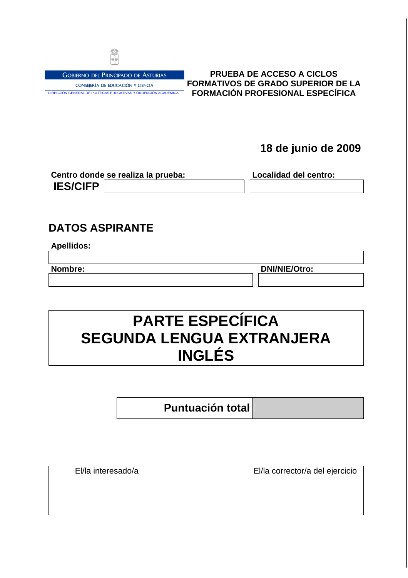

**GOBIERNO DEL PRINCIPADO DE ASTURIAS** CONSEJERÍA DE EDUCACIÓN Y CIENCIA DIRECCIÓN GENERAL DE POLÍTICAS EDUCATIVAS Y ORDENCIÓN ACADÉMICA

**PRUEBA DE ACCESO A CICLOS FORMATIVOS DE GRADO SUPERIOR DE LA FORMACIÓN PROFESIONAL ESPECÍFICA** 

**18 de junio de 2009**

|                 | Centro donde se realiza la prueba: | Localidad del centro: |
|-----------------|------------------------------------|-----------------------|
| <b>IES/CIFP</b> |                                    |                       |

### **DATOS ASPIRANTE**

| Apellidos: |
|------------|
|------------|

**Nombre: DNI/NIE/Otro:**

## **PARTE ESPECÍFICA SEGUNDA LENGUA EXTRANJERA INGLÉS**

**Puntuación total**

El/la interesado/a El/la corrector/a del ejercicio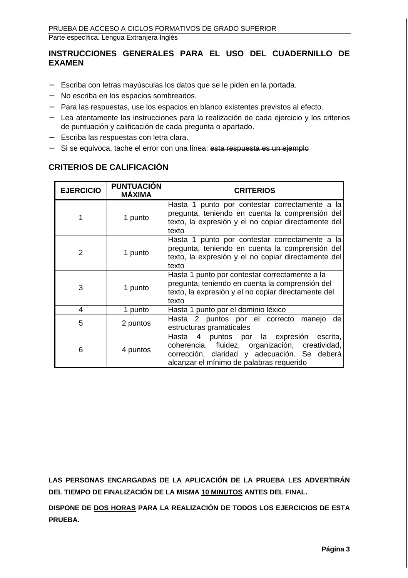### **INSTRUCCIONES GENERALES PARA EL USO DEL CUADERNILLO DE EXAMEN**

- − Escriba con letras mayúsculas los datos que se le piden en la portada.
- − No escriba en los espacios sombreados.
- − Para las respuestas, use los espacios en blanco existentes previstos al efecto.
- − Lea atentamente las instrucciones para la realización de cada ejercicio y los criterios de puntuación y calificación de cada pregunta o apartado.
- − Escriba las respuestas con letra clara.
- − Si se equivoca, tache el error con una línea: esta respuesta es un ejemplo

### **CRITERIOS DE CALIFICACIÓN**

| <b>EJERCICIO</b> | <b>PUNTUACIÓN</b><br><b>MÁXIMA</b> | <b>CRITERIOS</b>                                                                                                                                                                              |
|------------------|------------------------------------|-----------------------------------------------------------------------------------------------------------------------------------------------------------------------------------------------|
|                  | 1 punto                            | Hasta 1 punto por contestar correctamente a la<br>pregunta, teniendo en cuenta la comprensión del<br>texto, la expresión y el no copiar directamente del<br>texto                             |
| 2                | 1 punto                            | Hasta 1 punto por contestar correctamente a la<br>pregunta, teniendo en cuenta la comprensión del<br>texto, la expresión y el no copiar directamente del<br>texto                             |
| 3                | 1 punto                            | Hasta 1 punto por contestar correctamente a la<br>pregunta, teniendo en cuenta la comprensión del<br>texto, la expresión y el no copiar directamente del<br>texto                             |
| 4                | 1 punto                            | Hasta 1 punto por el dominio léxico                                                                                                                                                           |
| 5                | 2 puntos                           | Hasta 2 puntos por el correcto<br>de<br>manejo<br>estructuras gramaticales                                                                                                                    |
| 6                | 4 puntos                           | 4 puntos por la expresión<br>escrita,<br>Hasta<br>coherencia, fluidez, organización, creatividad,<br>corrección, claridad y adecuación. Se deberá<br>alcanzar el mínimo de palabras requerido |

**LAS PERSONAS ENCARGADAS DE LA APLICACIÓN DE LA PRUEBA LES ADVERTIRÁN DEL TIEMPO DE FINALIZACIÓN DE LA MISMA 10 MINUTOS ANTES DEL FINAL.** 

**DISPONE DE DOS HORAS PARA LA REALIZACIÓN DE TODOS LOS EJERCICIOS DE ESTA PRUEBA.**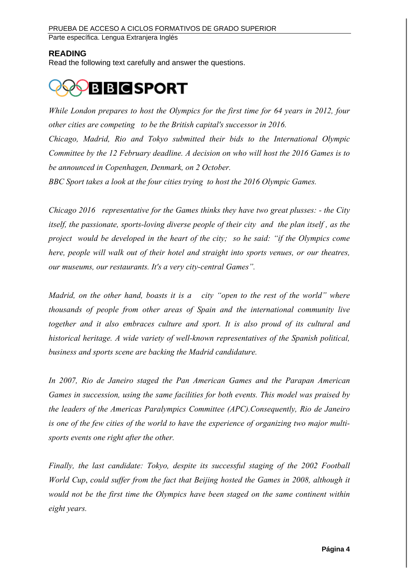### **READING**

Read the following text carefully and answer the questions.

# **BBCSPORT**

While London prepares to host the Olympics for the first time for 64 years in 2012, four other cities are competing to be the British capital's successor in 2016. Chicago, Madrid, Rio and Tokyo submitted their bids to the International Olympic Committee by the 12 February deadline. A decision on who will host the 2016 Games is to be announced in Copenhagen, Denmark, on 2 October.

BBC Sport takes a look at the four cities trying to host the 2016 Olympic Games.

Chicago 2016 representative for the Games thinks they have two great plusses: - the City itself, the passionate, sports-loving diverse people of their city and the plan itself , as the project would be developed in the heart of the city; so he said: "if the Olympics come here, people will walk out of their hotel and straight into sports venues, or our theatres, our museums, our restaurants. It's a very city-central Games".

Madrid, on the other hand, boasts it is a city "open to the rest of the world" where thousands of people from other areas of Spain and the international community live together and it also embraces culture and sport. It is also proud of its cultural and historical heritage. A wide variety of well-known representatives of the Spanish political, business and sports scene are backing the Madrid candidature.

In 2007, Rio de Janeiro staged the Pan American Games and the Parapan American Games in succession, using the same facilities for both events. This model was praised by the leaders of the Americas Paralympics Committee (APC).Consequently, Rio de Janeiro is one of the few cities of the world to have the experience of organizing two major multisports events one right after the other.

Finally, the last candidate: Tokyo, despite its successful staging of the 2002 Football World Cup, could suffer from the fact that Beijing hosted the Games in 2008, although it would not be the first time the Olympics have been staged on the same continent within eight years.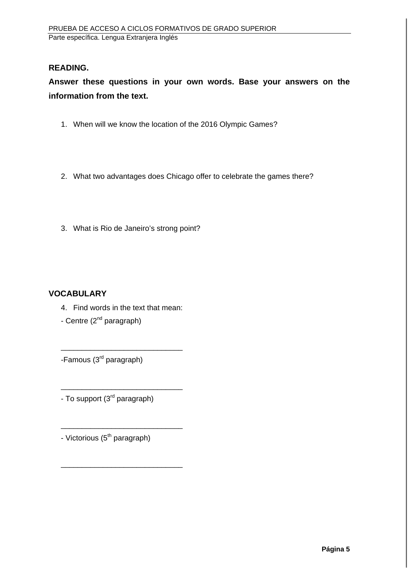### **READING.**

**Answer these questions in your own words. Base your answers on the information from the text.** 

- 1. When will we know the location of the 2016 Olympic Games?
- 2. What two advantages does Chicago offer to celebrate the games there?
- 3. What is Rio de Janeiro's strong point?

### **VOCABULARY**

4. Find words in the text that mean:

\_\_\_\_\_\_\_\_\_\_\_\_\_\_\_\_\_\_\_\_\_\_\_\_\_\_\_\_\_

\_\_\_\_\_\_\_\_\_\_\_\_\_\_\_\_\_\_\_\_\_\_\_\_\_\_\_\_\_

\_\_\_\_\_\_\_\_\_\_\_\_\_\_\_\_\_\_\_\_\_\_\_\_\_\_\_\_\_

\_\_\_\_\_\_\_\_\_\_\_\_\_\_\_\_\_\_\_\_\_\_\_\_\_\_\_\_\_

- Centre (2<sup>nd</sup> paragraph)

-Famous (3rd paragraph)

- To support (3<sup>rd</sup> paragraph)

- Victorious (5<sup>th</sup> paragraph)